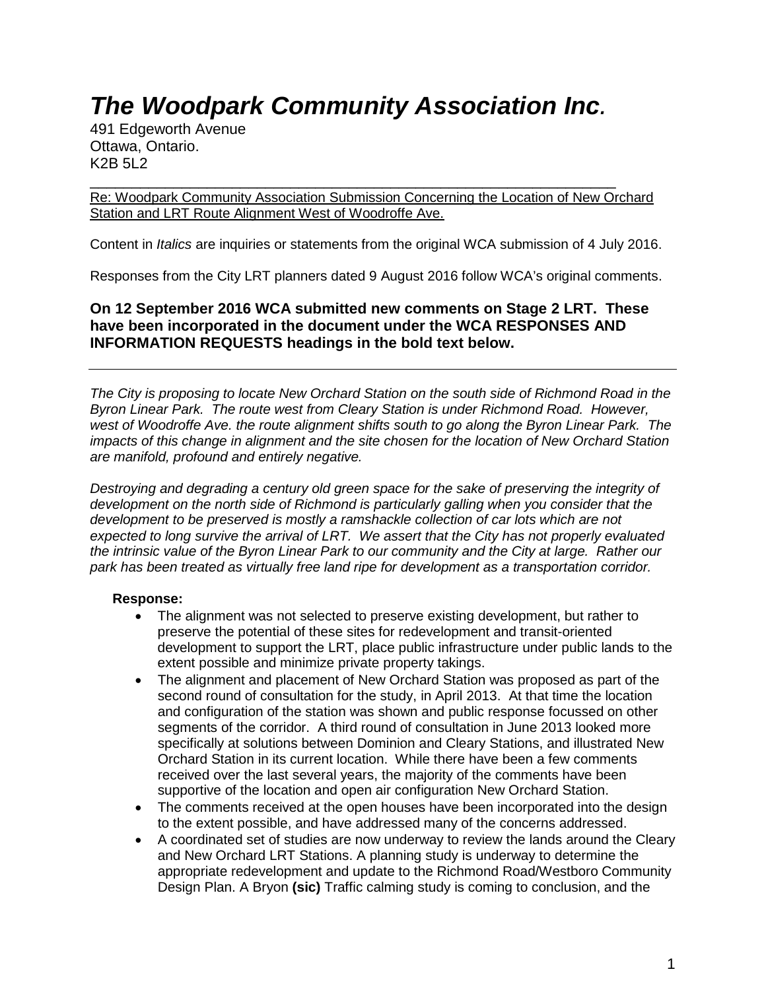# *The Woodpark Community Association Inc.*

491 Edgeworth Avenue Ottawa, Ontario. K2B 5L2

\_\_\_\_\_\_\_\_\_\_\_\_\_\_\_\_\_\_\_\_\_\_\_\_\_\_\_\_\_\_\_\_\_\_\_\_\_\_\_\_\_\_\_\_\_\_\_\_\_\_\_\_\_\_\_\_\_\_\_\_\_\_\_ Re: Woodpark Community Association Submission Concerning the Location of New Orchard Station and LRT Route Alignment West of Woodroffe Ave.

Content in *Italics* are inquiries or statements from the original WCA submission of 4 July 2016.

Responses from the City LRT planners dated 9 August 2016 follow WCA's original comments.

**On 12 September 2016 WCA submitted new comments on Stage 2 LRT. These have been incorporated in the document under the WCA RESPONSES AND INFORMATION REQUESTS headings in the bold text below.**

*The City is proposing to locate New Orchard Station on the south side of Richmond Road in the Byron Linear Park. The route west from Cleary Station is under Richmond Road. However, west of Woodroffe Ave. the route alignment shifts south to go along the Byron Linear Park. The impacts of this change in alignment and the site chosen for the location of New Orchard Station are manifold, profound and entirely negative.* 

*Destroying and degrading a century old green space for the sake of preserving the integrity of development on the north side of Richmond is particularly galling when you consider that the development to be preserved is mostly a ramshackle collection of car lots which are not expected to long survive the arrival of LRT. We assert that the City has not properly evaluated the intrinsic value of the Byron Linear Park to our community and the City at large. Rather our park has been treated as virtually free land ripe for development as a transportation corridor.* 

#### **Response:**

- The alignment was not selected to preserve existing development, but rather to preserve the potential of these sites for redevelopment and transit-oriented development to support the LRT, place public infrastructure under public lands to the extent possible and minimize private property takings.
- The alignment and placement of New Orchard Station was proposed as part of the second round of consultation for the study, in April 2013. At that time the location and configuration of the station was shown and public response focussed on other segments of the corridor. A third round of consultation in June 2013 looked more specifically at solutions between Dominion and Cleary Stations, and illustrated New Orchard Station in its current location. While there have been a few comments received over the last several years, the majority of the comments have been supportive of the location and open air configuration New Orchard Station.
- The comments received at the open houses have been incorporated into the design to the extent possible, and have addressed many of the concerns addressed.
- A coordinated set of studies are now underway to review the lands around the Cleary and New Orchard LRT Stations. A planning study is underway to determine the appropriate redevelopment and update to the Richmond Road/Westboro Community Design Plan. A Bryon **(sic)** Traffic calming study is coming to conclusion, and the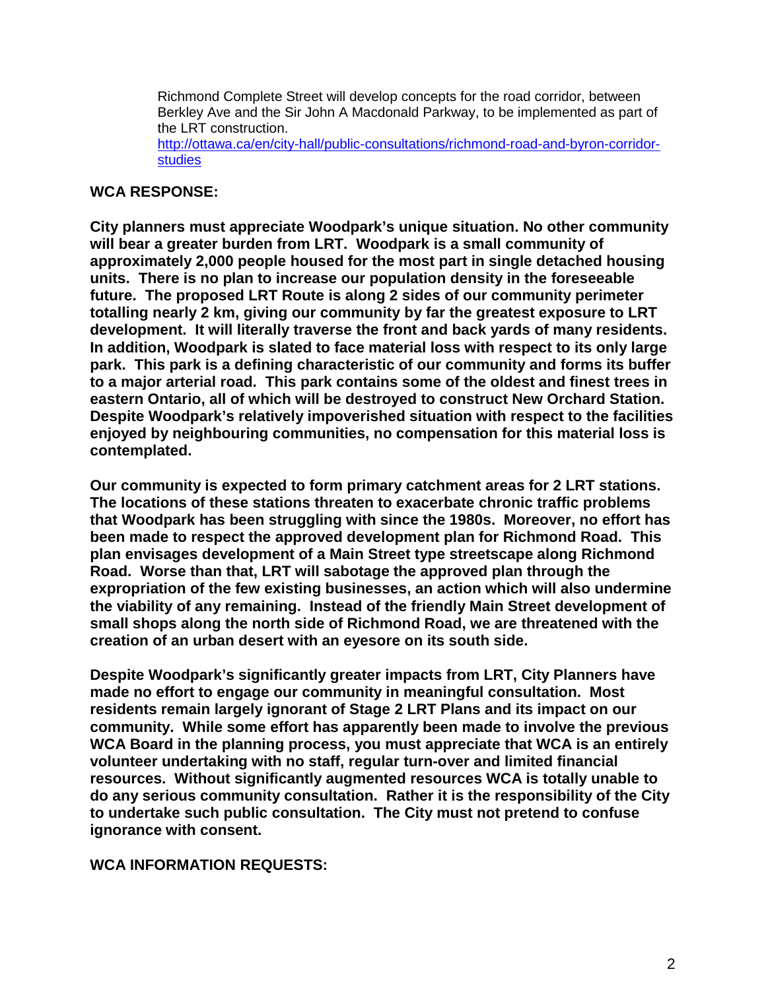Richmond Complete Street will develop concepts for the road corridor, between Berkley Ave and the Sir John A Macdonald Parkway, to be implemented as part of the LRT construction. [http://ottawa.ca/en/city-hall/public-consultations/richmond-road-and-byron-corridor-](http://ottawa.ca/en/city-hall/public-consultations/richmond-road-and-byron-corridor-studies)

[studies](http://ottawa.ca/en/city-hall/public-consultations/richmond-road-and-byron-corridor-studies)

# **WCA RESPONSE:**

**City planners must appreciate Woodpark's unique situation. No other community will bear a greater burden from LRT. Woodpark is a small community of approximately 2,000 people housed for the most part in single detached housing units. There is no plan to increase our population density in the foreseeable future. The proposed LRT Route is along 2 sides of our community perimeter totalling nearly 2 km, giving our community by far the greatest exposure to LRT development. It will literally traverse the front and back yards of many residents. In addition, Woodpark is slated to face material loss with respect to its only large park. This park is a defining characteristic of our community and forms its buffer to a major arterial road. This park contains some of the oldest and finest trees in eastern Ontario, all of which will be destroyed to construct New Orchard Station. Despite Woodpark's relatively impoverished situation with respect to the facilities enjoyed by neighbouring communities, no compensation for this material loss is contemplated.** 

**Our community is expected to form primary catchment areas for 2 LRT stations. The locations of these stations threaten to exacerbate chronic traffic problems that Woodpark has been struggling with since the 1980s. Moreover, no effort has been made to respect the approved development plan for Richmond Road. This plan envisages development of a Main Street type streetscape along Richmond Road. Worse than that, LRT will sabotage the approved plan through the expropriation of the few existing businesses, an action which will also undermine the viability of any remaining. Instead of the friendly Main Street development of small shops along the north side of Richmond Road, we are threatened with the creation of an urban desert with an eyesore on its south side.**

**Despite Woodpark's significantly greater impacts from LRT, City Planners have made no effort to engage our community in meaningful consultation. Most residents remain largely ignorant of Stage 2 LRT Plans and its impact on our community. While some effort has apparently been made to involve the previous WCA Board in the planning process, you must appreciate that WCA is an entirely volunteer undertaking with no staff, regular turn-over and limited financial resources. Without significantly augmented resources WCA is totally unable to do any serious community consultation. Rather it is the responsibility of the City to undertake such public consultation. The City must not pretend to confuse ignorance with consent.** 

**WCA INFORMATION REQUESTS:**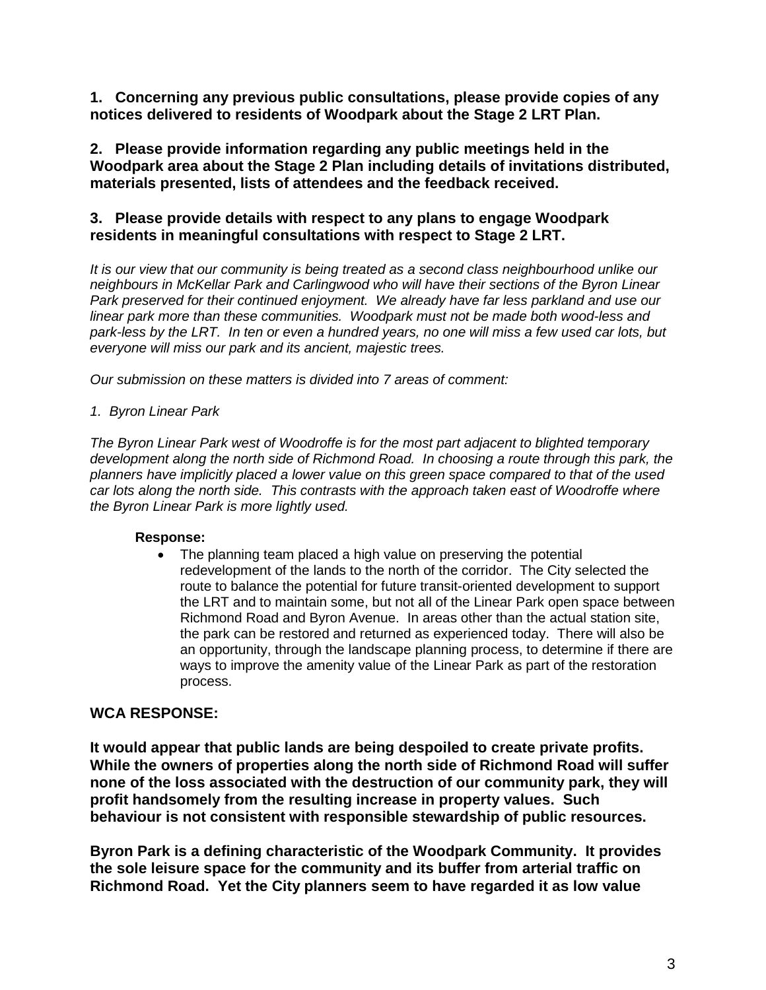**1. Concerning any previous public consultations, please provide copies of any notices delivered to residents of Woodpark about the Stage 2 LRT Plan.**

**2. Please provide information regarding any public meetings held in the Woodpark area about the Stage 2 Plan including details of invitations distributed, materials presented, lists of attendees and the feedback received.**

# **3. Please provide details with respect to any plans to engage Woodpark residents in meaningful consultations with respect to Stage 2 LRT.**

*It is our view that our community is being treated as a second class neighbourhood unlike our neighbours in McKellar Park and Carlingwood who will have their sections of the Byron Linear Park preserved for their continued enjoyment. We already have far less parkland and use our linear park more than these communities. Woodpark must not be made both wood-less and park-less by the LRT. In ten or even a hundred years, no one will miss a few used car lots, but everyone will miss our park and its ancient, majestic trees.*

*Our submission on these matters is divided into 7 areas of comment:*

#### *1. Byron Linear Park*

*The Byron Linear Park west of Woodroffe is for the most part adjacent to blighted temporary development along the north side of Richmond Road. In choosing a route through this park, the planners have implicitly placed a lower value on this green space compared to that of the used car lots along the north side. This contrasts with the approach taken east of Woodroffe where the Byron Linear Park is more lightly used.* 

#### **Response:**

• The planning team placed a high value on preserving the potential redevelopment of the lands to the north of the corridor. The City selected the route to balance the potential for future transit-oriented development to support the LRT and to maintain some, but not all of the Linear Park open space between Richmond Road and Byron Avenue. In areas other than the actual station site, the park can be restored and returned as experienced today. There will also be an opportunity, through the landscape planning process, to determine if there are ways to improve the amenity value of the Linear Park as part of the restoration process.

# **WCA RESPONSE:**

**It would appear that public lands are being despoiled to create private profits. While the owners of properties along the north side of Richmond Road will suffer none of the loss associated with the destruction of our community park, they will profit handsomely from the resulting increase in property values. Such behaviour is not consistent with responsible stewardship of public resources.**

**Byron Park is a defining characteristic of the Woodpark Community. It provides the sole leisure space for the community and its buffer from arterial traffic on Richmond Road. Yet the City planners seem to have regarded it as low value**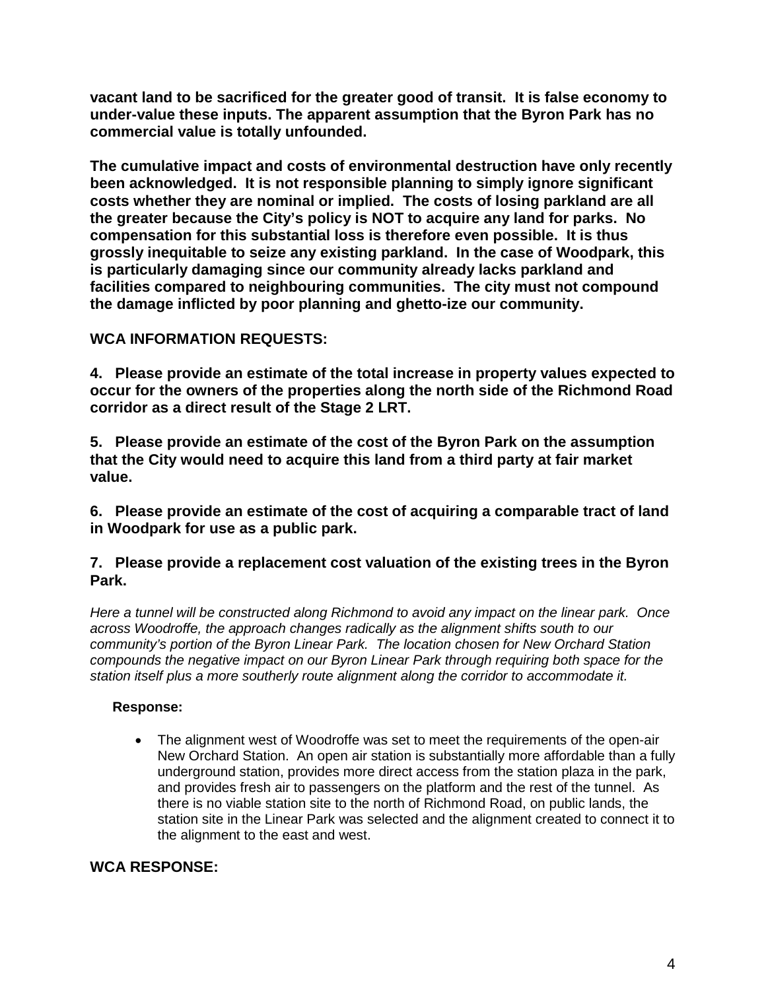**vacant land to be sacrificed for the greater good of transit. It is false economy to under-value these inputs. The apparent assumption that the Byron Park has no commercial value is totally unfounded.** 

**The cumulative impact and costs of environmental destruction have only recently been acknowledged. It is not responsible planning to simply ignore significant costs whether they are nominal or implied. The costs of losing parkland are all the greater because the City's policy is NOT to acquire any land for parks. No compensation for this substantial loss is therefore even possible. It is thus grossly inequitable to seize any existing parkland. In the case of Woodpark, this is particularly damaging since our community already lacks parkland and facilities compared to neighbouring communities. The city must not compound the damage inflicted by poor planning and ghetto-ize our community.**

# **WCA INFORMATION REQUESTS:**

**4. Please provide an estimate of the total increase in property values expected to occur for the owners of the properties along the north side of the Richmond Road corridor as a direct result of the Stage 2 LRT.**

**5. Please provide an estimate of the cost of the Byron Park on the assumption that the City would need to acquire this land from a third party at fair market value.**

**6. Please provide an estimate of the cost of acquiring a comparable tract of land in Woodpark for use as a public park.** 

# **7. Please provide a replacement cost valuation of the existing trees in the Byron Park.**

*Here a tunnel will be constructed along Richmond to avoid any impact on the linear park. Once across Woodroffe, the approach changes radically as the alignment shifts south to our community's portion of the Byron Linear Park. The location chosen for New Orchard Station compounds the negative impact on our Byron Linear Park through requiring both space for the station itself plus a more southerly route alignment along the corridor to accommodate it.* 

# **Response:**

• The alignment west of Woodroffe was set to meet the requirements of the open-air New Orchard Station. An open air station is substantially more affordable than a fully underground station, provides more direct access from the station plaza in the park, and provides fresh air to passengers on the platform and the rest of the tunnel. As there is no viable station site to the north of Richmond Road, on public lands, the station site in the Linear Park was selected and the alignment created to connect it to the alignment to the east and west.

# **WCA RESPONSE:**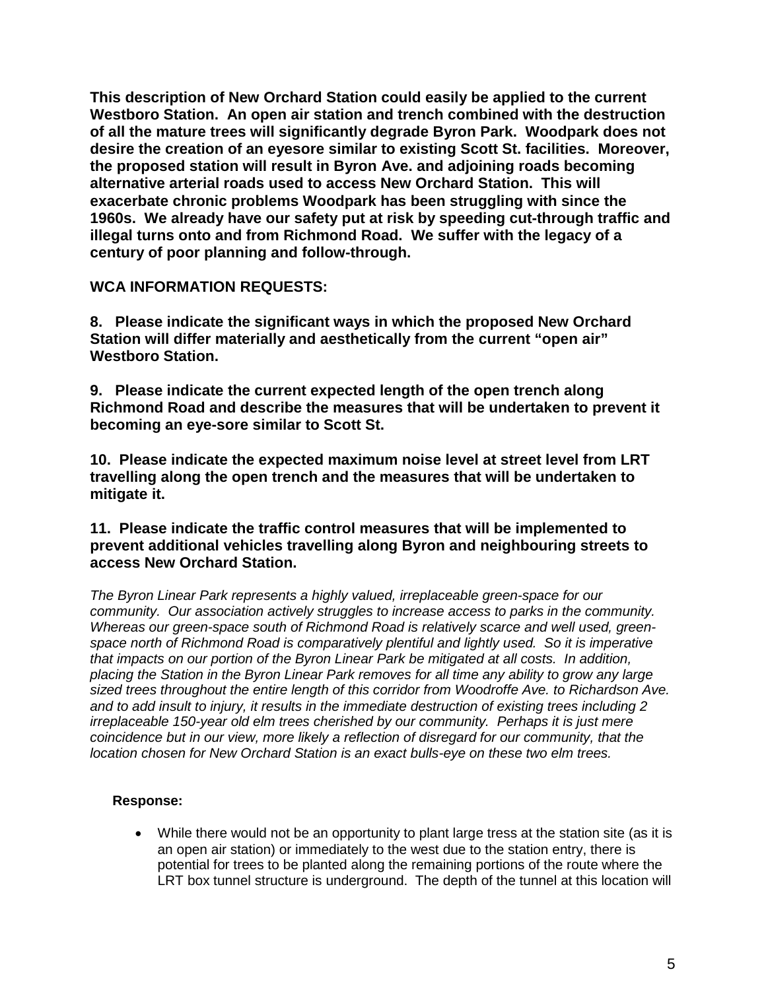**This description of New Orchard Station could easily be applied to the current Westboro Station. An open air station and trench combined with the destruction of all the mature trees will significantly degrade Byron Park. Woodpark does not desire the creation of an eyesore similar to existing Scott St. facilities. Moreover, the proposed station will result in Byron Ave. and adjoining roads becoming alternative arterial roads used to access New Orchard Station. This will exacerbate chronic problems Woodpark has been struggling with since the 1960s. We already have our safety put at risk by speeding cut-through traffic and illegal turns onto and from Richmond Road. We suffer with the legacy of a century of poor planning and follow-through.**

**WCA INFORMATION REQUESTS:**

**8. Please indicate the significant ways in which the proposed New Orchard Station will differ materially and aesthetically from the current "open air" Westboro Station.**

**9. Please indicate the current expected length of the open trench along Richmond Road and describe the measures that will be undertaken to prevent it becoming an eye-sore similar to Scott St.**

**10. Please indicate the expected maximum noise level at street level from LRT travelling along the open trench and the measures that will be undertaken to mitigate it.** 

**11. Please indicate the traffic control measures that will be implemented to prevent additional vehicles travelling along Byron and neighbouring streets to access New Orchard Station.**

*The Byron Linear Park represents a highly valued, irreplaceable green-space for our community. Our association actively struggles to increase access to parks in the community. Whereas our green-space south of Richmond Road is relatively scarce and well used, greenspace north of Richmond Road is comparatively plentiful and lightly used. So it is imperative that impacts on our portion of the Byron Linear Park be mitigated at all costs. In addition, placing the Station in the Byron Linear Park removes for all time any ability to grow any large sized trees throughout the entire length of this corridor from Woodroffe Ave. to Richardson Ave. and to add insult to injury, it results in the immediate destruction of existing trees including 2 irreplaceable 150-year old elm trees cherished by our community. Perhaps it is just mere coincidence but in our view, more likely a reflection of disregard for our community, that the location chosen for New Orchard Station is an exact bulls-eye on these two elm trees.* 

# **Response:**

• While there would not be an opportunity to plant large tress at the station site (as it is an open air station) or immediately to the west due to the station entry, there is potential for trees to be planted along the remaining portions of the route where the LRT box tunnel structure is underground. The depth of the tunnel at this location will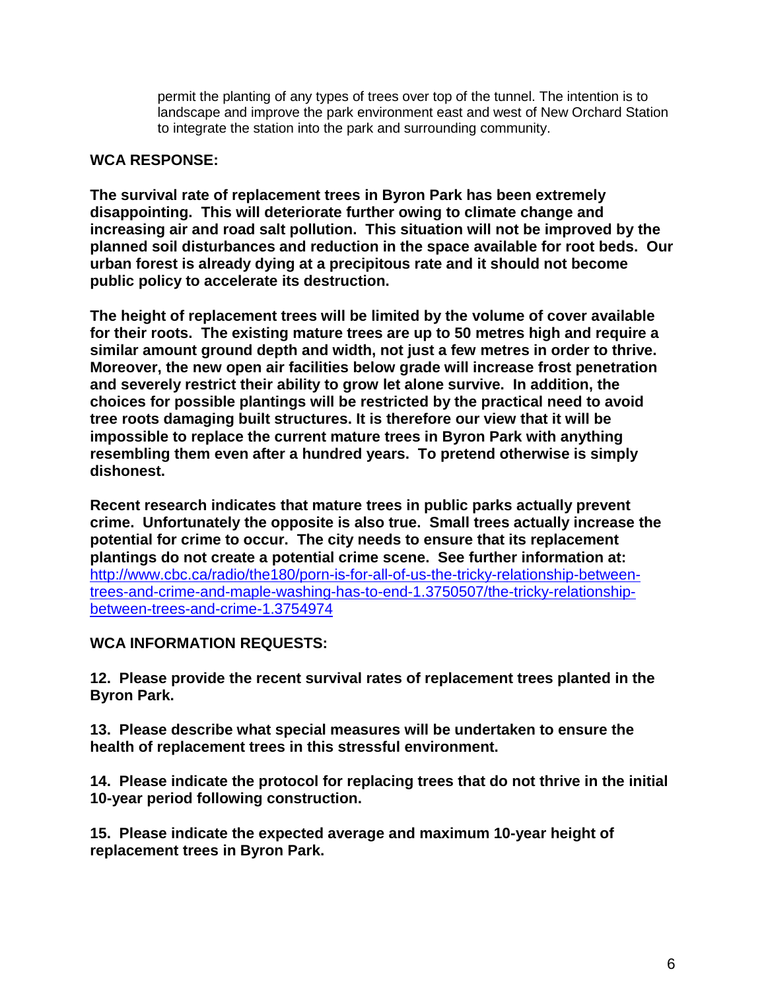permit the planting of any types of trees over top of the tunnel. The intention is to landscape and improve the park environment east and west of New Orchard Station to integrate the station into the park and surrounding community.

#### **WCA RESPONSE:**

**The survival rate of replacement trees in Byron Park has been extremely disappointing. This will deteriorate further owing to climate change and increasing air and road salt pollution. This situation will not be improved by the planned soil disturbances and reduction in the space available for root beds. Our urban forest is already dying at a precipitous rate and it should not become public policy to accelerate its destruction.**

**The height of replacement trees will be limited by the volume of cover available for their roots. The existing mature trees are up to 50 metres high and require a similar amount ground depth and width, not just a few metres in order to thrive. Moreover, the new open air facilities below grade will increase frost penetration and severely restrict their ability to grow let alone survive. In addition, the choices for possible plantings will be restricted by the practical need to avoid tree roots damaging built structures. It is therefore our view that it will be impossible to replace the current mature trees in Byron Park with anything resembling them even after a hundred years. To pretend otherwise is simply dishonest.**

**Recent research indicates that mature trees in public parks actually prevent crime. Unfortunately the opposite is also true. Small trees actually increase the potential for crime to occur. The city needs to ensure that its replacement plantings do not create a potential crime scene. See further information at:**  [http://www.cbc.ca/radio/the180/porn-is-for-all-of-us-the-tricky-relationship-between](http://www.cbc.ca/radio/the180/porn-is-for-all-of-us-the-tricky-relationship-between-trees-and-crime-and-maple-washing-has-to-end-1.3750507/the-tricky-relationship-between-trees-and-crime-1.3754974)[trees-and-crime-and-maple-washing-has-to-end-1.3750507/the-tricky-relationship](http://www.cbc.ca/radio/the180/porn-is-for-all-of-us-the-tricky-relationship-between-trees-and-crime-and-maple-washing-has-to-end-1.3750507/the-tricky-relationship-between-trees-and-crime-1.3754974)[between-trees-and-crime-1.3754974](http://www.cbc.ca/radio/the180/porn-is-for-all-of-us-the-tricky-relationship-between-trees-and-crime-and-maple-washing-has-to-end-1.3750507/the-tricky-relationship-between-trees-and-crime-1.3754974)

**WCA INFORMATION REQUESTS:** 

**12. Please provide the recent survival rates of replacement trees planted in the Byron Park.**

**13. Please describe what special measures will be undertaken to ensure the health of replacement trees in this stressful environment.**

**14. Please indicate the protocol for replacing trees that do not thrive in the initial 10-year period following construction.**

**15. Please indicate the expected average and maximum 10-year height of replacement trees in Byron Park.**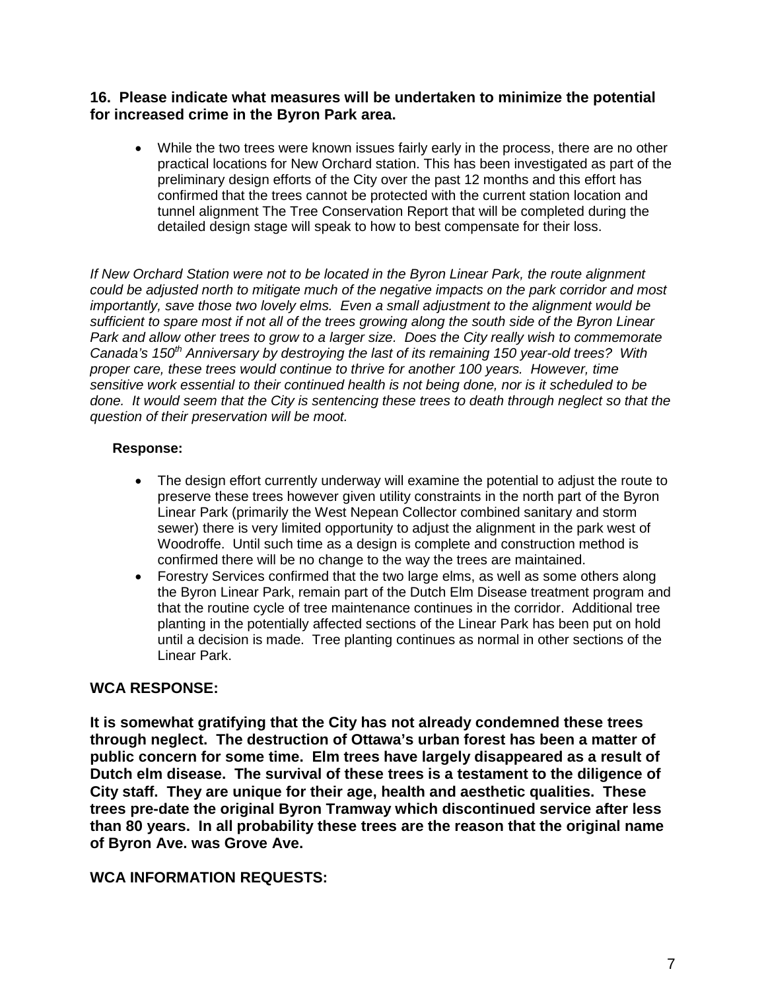#### **16. Please indicate what measures will be undertaken to minimize the potential for increased crime in the Byron Park area.**

• While the two trees were known issues fairly early in the process, there are no other practical locations for New Orchard station. This has been investigated as part of the preliminary design efforts of the City over the past 12 months and this effort has confirmed that the trees cannot be protected with the current station location and tunnel alignment The Tree Conservation Report that will be completed during the detailed design stage will speak to how to best compensate for their loss.

*If New Orchard Station were not to be located in the Byron Linear Park, the route alignment could be adjusted north to mitigate much of the negative impacts on the park corridor and most importantly, save those two lovely elms. Even a small adjustment to the alignment would be sufficient to spare most if not all of the trees growing along the south side of the Byron Linear Park and allow other trees to grow to a larger size. Does the City really wish to commemorate*  Canada's 150<sup>th</sup> Anniversary by destroying the last of its remaining 150 year-old trees? With *proper care, these trees would continue to thrive for another 100 years. However, time sensitive work essential to their continued health is not being done, nor is it scheduled to be done. It would seem that the City is sentencing these trees to death through neglect so that the question of their preservation will be moot.*

#### **Response:**

- The design effort currently underway will examine the potential to adjust the route to preserve these trees however given utility constraints in the north part of the Byron Linear Park (primarily the West Nepean Collector combined sanitary and storm sewer) there is very limited opportunity to adjust the alignment in the park west of Woodroffe. Until such time as a design is complete and construction method is confirmed there will be no change to the way the trees are maintained.
- Forestry Services confirmed that the two large elms, as well as some others along the Byron Linear Park, remain part of the Dutch Elm Disease treatment program and that the routine cycle of tree maintenance continues in the corridor. Additional tree planting in the potentially affected sections of the Linear Park has been put on hold until a decision is made. Tree planting continues as normal in other sections of the Linear Park.

# **WCA RESPONSE:**

**It is somewhat gratifying that the City has not already condemned these trees through neglect. The destruction of Ottawa's urban forest has been a matter of public concern for some time. Elm trees have largely disappeared as a result of Dutch elm disease. The survival of these trees is a testament to the diligence of City staff. They are unique for their age, health and aesthetic qualities. These trees pre-date the original Byron Tramway which discontinued service after less than 80 years. In all probability these trees are the reason that the original name of Byron Ave. was Grove Ave.**

# **WCA INFORMATION REQUESTS:**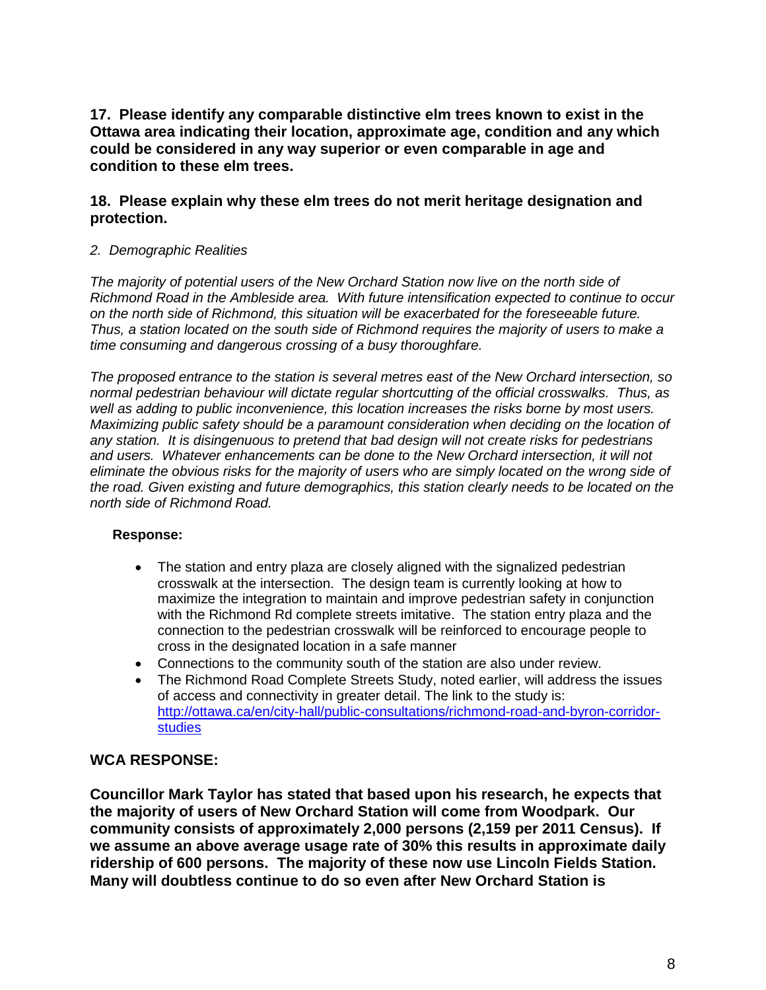**17. Please identify any comparable distinctive elm trees known to exist in the Ottawa area indicating their location, approximate age, condition and any which could be considered in any way superior or even comparable in age and condition to these elm trees.**

# **18. Please explain why these elm trees do not merit heritage designation and protection.**

#### *2. Demographic Realities*

*The majority of potential users of the New Orchard Station now live on the north side of Richmond Road in the Ambleside area. With future intensification expected to continue to occur on the north side of Richmond, this situation will be exacerbated for the foreseeable future. Thus, a station located on the south side of Richmond requires the majority of users to make a time consuming and dangerous crossing of a busy thoroughfare.* 

*The proposed entrance to the station is several metres east of the New Orchard intersection, so normal pedestrian behaviour will dictate regular shortcutting of the official crosswalks. Thus, as well as adding to public inconvenience, this location increases the risks borne by most users. Maximizing public safety should be a paramount consideration when deciding on the location of any station. It is disingenuous to pretend that bad design will not create risks for pedestrians and users. Whatever enhancements can be done to the New Orchard intersection, it will not eliminate the obvious risks for the majority of users who are simply located on the wrong side of the road. Given existing and future demographics, this station clearly needs to be located on the north side of Richmond Road.* 

# **Response:**

- The station and entry plaza are closely aligned with the signalized pedestrian crosswalk at the intersection. The design team is currently looking at how to maximize the integration to maintain and improve pedestrian safety in conjunction with the Richmond Rd complete streets imitative. The station entry plaza and the connection to the pedestrian crosswalk will be reinforced to encourage people to cross in the designated location in a safe manner
- Connections to the community south of the station are also under review.
- The Richmond Road Complete Streets Study, noted earlier, will address the issues of access and connectivity in greater detail. The link to the study is: [http://ottawa.ca/en/city-hall/public-consultations/richmond-road-and-byron-corridor](http://ottawa.ca/en/city-hall/public-consultations/richmond-road-and-byron-corridor-studies)[studies](http://ottawa.ca/en/city-hall/public-consultations/richmond-road-and-byron-corridor-studies)

# **WCA RESPONSE:**

**Councillor Mark Taylor has stated that based upon his research, he expects that the majority of users of New Orchard Station will come from Woodpark. Our community consists of approximately 2,000 persons (2,159 per 2011 Census). If we assume an above average usage rate of 30% this results in approximate daily ridership of 600 persons. The majority of these now use Lincoln Fields Station. Many will doubtless continue to do so even after New Orchard Station is**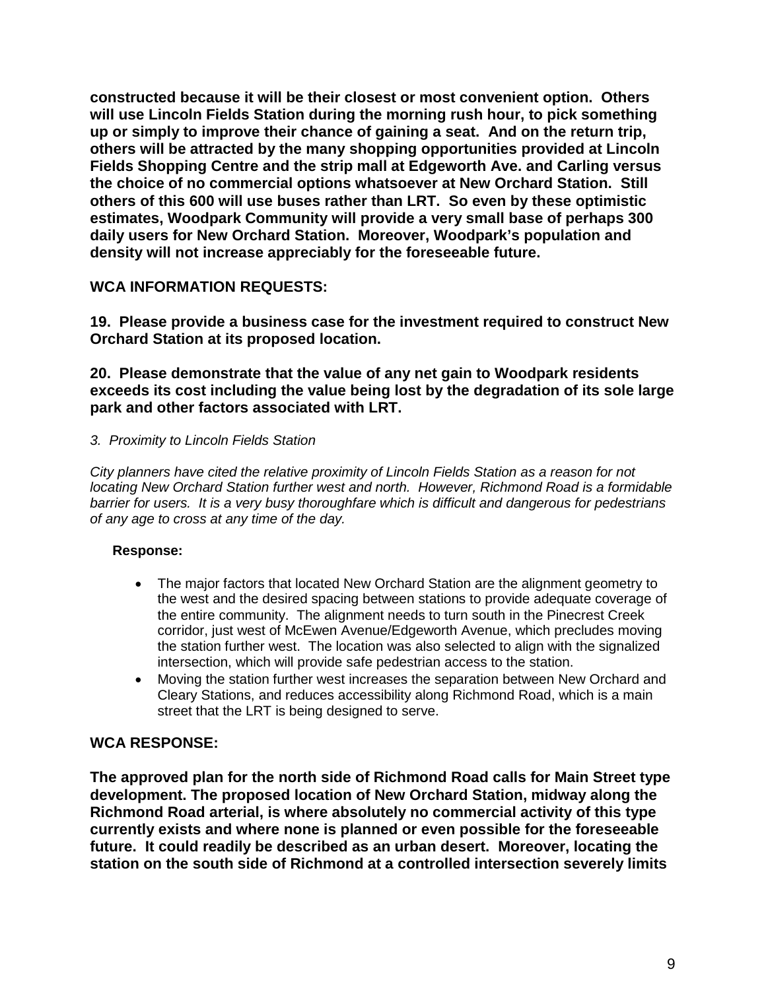**constructed because it will be their closest or most convenient option. Others will use Lincoln Fields Station during the morning rush hour, to pick something up or simply to improve their chance of gaining a seat. And on the return trip, others will be attracted by the many shopping opportunities provided at Lincoln Fields Shopping Centre and the strip mall at Edgeworth Ave. and Carling versus the choice of no commercial options whatsoever at New Orchard Station. Still others of this 600 will use buses rather than LRT. So even by these optimistic estimates, Woodpark Community will provide a very small base of perhaps 300 daily users for New Orchard Station. Moreover, Woodpark's population and density will not increase appreciably for the foreseeable future.**

# **WCA INFORMATION REQUESTS:**

**19. Please provide a business case for the investment required to construct New Orchard Station at its proposed location.**

#### **20. Please demonstrate that the value of any net gain to Woodpark residents exceeds its cost including the value being lost by the degradation of its sole large park and other factors associated with LRT.**

# *3. Proximity to Lincoln Fields Station*

*City planners have cited the relative proximity of Lincoln Fields Station as a reason for not locating New Orchard Station further west and north. However, Richmond Road is a formidable barrier for users. It is a very busy thoroughfare which is difficult and dangerous for pedestrians of any age to cross at any time of the day.* 

# **Response:**

- The major factors that located New Orchard Station are the alignment geometry to the west and the desired spacing between stations to provide adequate coverage of the entire community. The alignment needs to turn south in the Pinecrest Creek corridor, just west of McEwen Avenue/Edgeworth Avenue, which precludes moving the station further west. The location was also selected to align with the signalized intersection, which will provide safe pedestrian access to the station.
- Moving the station further west increases the separation between New Orchard and Cleary Stations, and reduces accessibility along Richmond Road, which is a main street that the LRT is being designed to serve.

# **WCA RESPONSE:**

**The approved plan for the north side of Richmond Road calls for Main Street type development. The proposed location of New Orchard Station, midway along the Richmond Road arterial, is where absolutely no commercial activity of this type currently exists and where none is planned or even possible for the foreseeable future. It could readily be described as an urban desert. Moreover, locating the station on the south side of Richmond at a controlled intersection severely limits**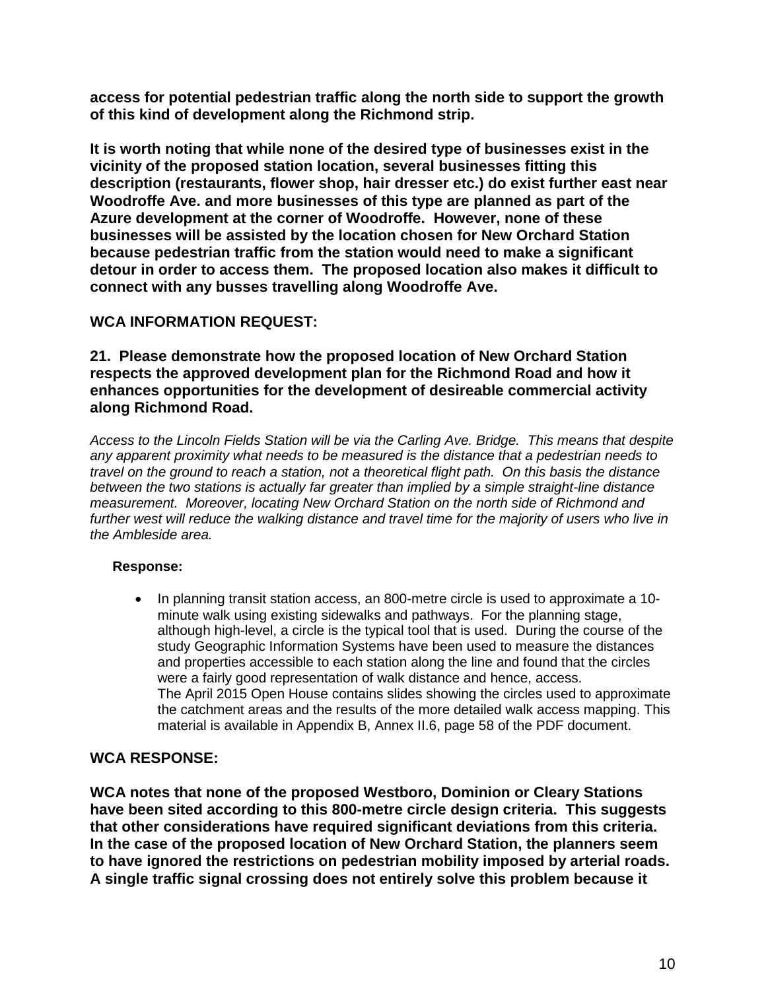**access for potential pedestrian traffic along the north side to support the growth of this kind of development along the Richmond strip.** 

**It is worth noting that while none of the desired type of businesses exist in the vicinity of the proposed station location, several businesses fitting this description (restaurants, flower shop, hair dresser etc.) do exist further east near Woodroffe Ave. and more businesses of this type are planned as part of the Azure development at the corner of Woodroffe. However, none of these businesses will be assisted by the location chosen for New Orchard Station because pedestrian traffic from the station would need to make a significant detour in order to access them. The proposed location also makes it difficult to connect with any busses travelling along Woodroffe Ave.**

# **WCA INFORMATION REQUEST:**

**21. Please demonstrate how the proposed location of New Orchard Station respects the approved development plan for the Richmond Road and how it enhances opportunities for the development of desireable commercial activity along Richmond Road.**

*Access to the Lincoln Fields Station will be via the Carling Ave. Bridge. This means that despite any apparent proximity what needs to be measured is the distance that a pedestrian needs to travel on the ground to reach a station, not a theoretical flight path. On this basis the distance between the two stations is actually far greater than implied by a simple straight-line distance measurement. Moreover, locating New Orchard Station on the north side of Richmond and further west will reduce the walking distance and travel time for the majority of users who live in the Ambleside area.*

# **Response:**

• In planning transit station access, an 800-metre circle is used to approximate a 10 minute walk using existing sidewalks and pathways. For the planning stage, although high-level, a circle is the typical tool that is used. During the course of the study Geographic Information Systems have been used to measure the distances and properties accessible to each station along the line and found that the circles were a fairly good representation of walk distance and hence, access. The April 2015 Open House contains slides showing the circles used to approximate the catchment areas and the results of the more detailed walk access mapping. This material is available in Appendix B, Annex II.6, page 58 of the PDF document.

# **WCA RESPONSE:**

**WCA notes that none of the proposed Westboro, Dominion or Cleary Stations have been sited according to this 800-metre circle design criteria. This suggests that other considerations have required significant deviations from this criteria. In the case of the proposed location of New Orchard Station, the planners seem to have ignored the restrictions on pedestrian mobility imposed by arterial roads. A single traffic signal crossing does not entirely solve this problem because it**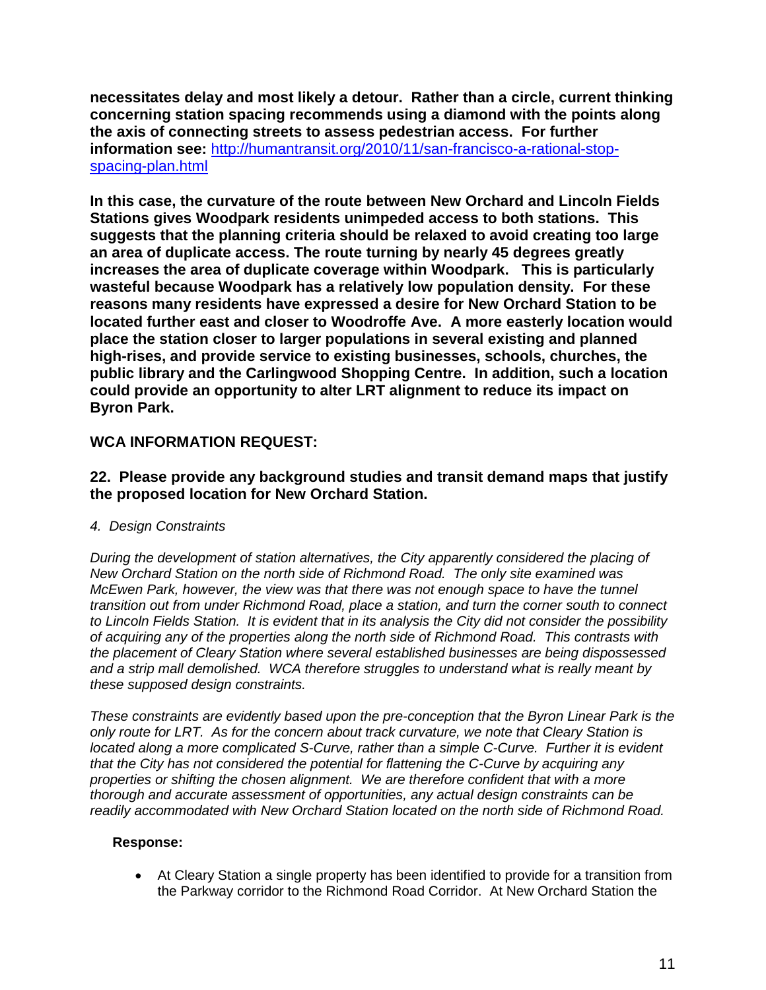**necessitates delay and most likely a detour. Rather than a circle, current thinking concerning station spacing recommends using a diamond with the points along the axis of connecting streets to assess pedestrian access. For further information see:** [http://humantransit.org/2010/11/san-francisco-a-rational-stop](http://humantransit.org/2010/11/san-francisco-a-rational-stop-spacing-plan.html)[spacing-plan.html](http://humantransit.org/2010/11/san-francisco-a-rational-stop-spacing-plan.html)

**In this case, the curvature of the route between New Orchard and Lincoln Fields Stations gives Woodpark residents unimpeded access to both stations. This suggests that the planning criteria should be relaxed to avoid creating too large an area of duplicate access. The route turning by nearly 45 degrees greatly increases the area of duplicate coverage within Woodpark. This is particularly wasteful because Woodpark has a relatively low population density. For these reasons many residents have expressed a desire for New Orchard Station to be located further east and closer to Woodroffe Ave. A more easterly location would place the station closer to larger populations in several existing and planned high-rises, and provide service to existing businesses, schools, churches, the public library and the Carlingwood Shopping Centre. In addition, such a location could provide an opportunity to alter LRT alignment to reduce its impact on Byron Park.**

# **WCA INFORMATION REQUEST:**

# **22. Please provide any background studies and transit demand maps that justify the proposed location for New Orchard Station.**

# *4. Design Constraints*

*During the development of station alternatives, the City apparently considered the placing of New Orchard Station on the north side of Richmond Road. The only site examined was McEwen Park, however, the view was that there was not enough space to have the tunnel transition out from under Richmond Road, place a station, and turn the corner south to connect to Lincoln Fields Station. It is evident that in its analysis the City did not consider the possibility of acquiring any of the properties along the north side of Richmond Road. This contrasts with the placement of Cleary Station where several established businesses are being dispossessed and a strip mall demolished. WCA therefore struggles to understand what is really meant by these supposed design constraints.*

*These constraints are evidently based upon the pre-conception that the Byron Linear Park is the only route for LRT. As for the concern about track curvature, we note that Cleary Station is located along a more complicated S-Curve, rather than a simple C-Curve. Further it is evident that the City has not considered the potential for flattening the C-Curve by acquiring any properties or shifting the chosen alignment. We are therefore confident that with a more thorough and accurate assessment of opportunities, any actual design constraints can be readily accommodated with New Orchard Station located on the north side of Richmond Road.*

#### **Response:**

• At Cleary Station a single property has been identified to provide for a transition from the Parkway corridor to the Richmond Road Corridor. At New Orchard Station the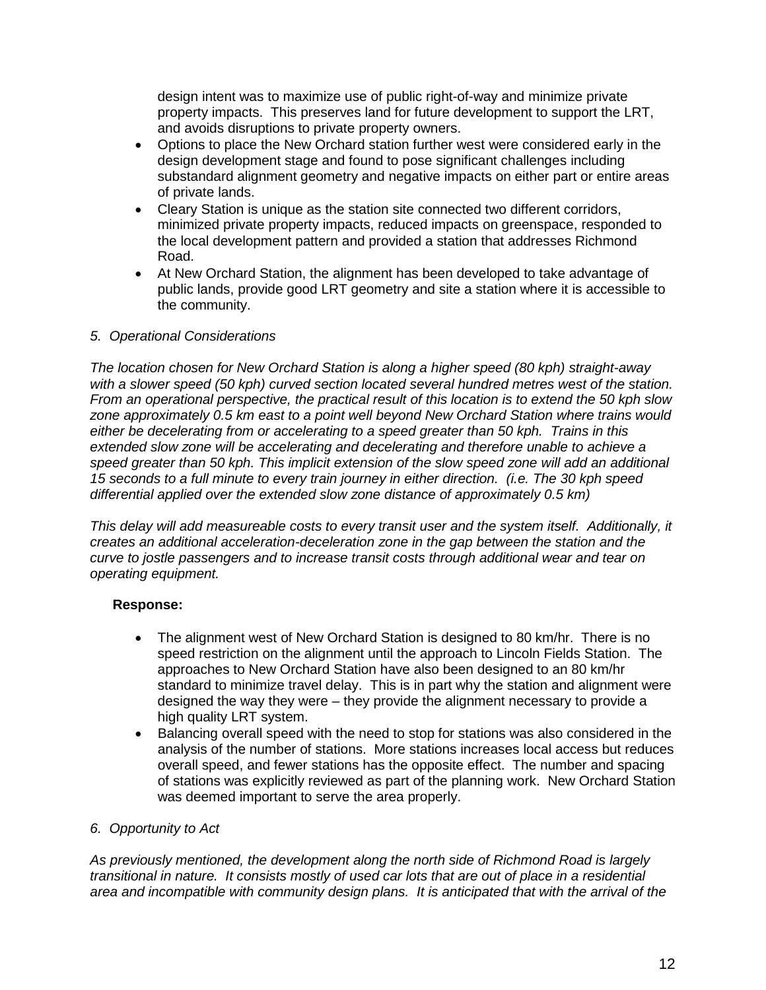design intent was to maximize use of public right-of-way and minimize private property impacts. This preserves land for future development to support the LRT, and avoids disruptions to private property owners.

- Options to place the New Orchard station further west were considered early in the design development stage and found to pose significant challenges including substandard alignment geometry and negative impacts on either part or entire areas of private lands.
- Cleary Station is unique as the station site connected two different corridors, minimized private property impacts, reduced impacts on greenspace, responded to the local development pattern and provided a station that addresses Richmond Road.
- At New Orchard Station, the alignment has been developed to take advantage of public lands, provide good LRT geometry and site a station where it is accessible to the community.

#### *5. Operational Considerations*

*The location chosen for New Orchard Station is along a higher speed (80 kph) straight-away with a slower speed (50 kph) curved section located several hundred metres west of the station. From an operational perspective, the practical result of this location is to extend the 50 kph slow zone approximately 0.5 km east to a point well beyond New Orchard Station where trains would either be decelerating from or accelerating to a speed greater than 50 kph. Trains in this*  extended slow zone will be accelerating and decelerating and therefore unable to achieve a *speed greater than 50 kph. This implicit extension of the slow speed zone will add an additional 15 seconds to a full minute to every train journey in either direction. (i.e. The 30 kph speed differential applied over the extended slow zone distance of approximately 0.5 km)* 

*This delay will add measureable costs to every transit user and the system itself. Additionally, it creates an additional acceleration-deceleration zone in the gap between the station and the curve to jostle passengers and to increase transit costs through additional wear and tear on operating equipment.* 

#### **Response:**

- The alignment west of New Orchard Station is designed to 80 km/hr. There is no speed restriction on the alignment until the approach to Lincoln Fields Station. The approaches to New Orchard Station have also been designed to an 80 km/hr standard to minimize travel delay. This is in part why the station and alignment were designed the way they were – they provide the alignment necessary to provide a high quality LRT system.
- Balancing overall speed with the need to stop for stations was also considered in the analysis of the number of stations. More stations increases local access but reduces overall speed, and fewer stations has the opposite effect. The number and spacing of stations was explicitly reviewed as part of the planning work. New Orchard Station was deemed important to serve the area properly.

#### *6. Opportunity to Act*

*As previously mentioned, the development along the north side of Richmond Road is largely transitional in nature. It consists mostly of used car lots that are out of place in a residential area and incompatible with community design plans. It is anticipated that with the arrival of the*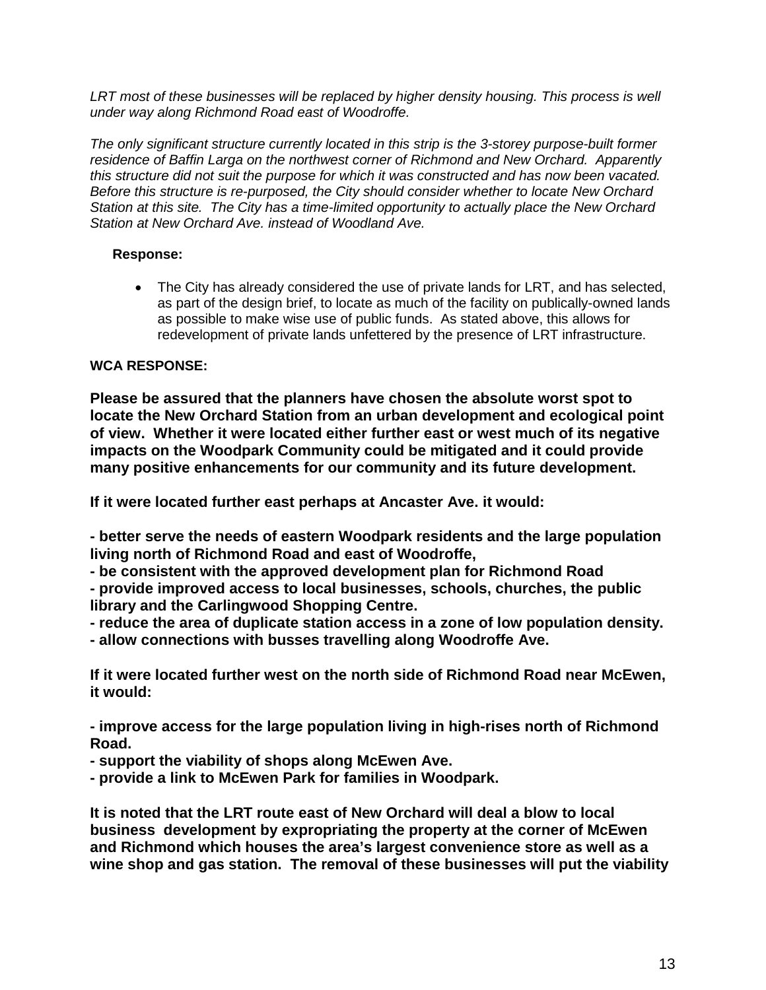*LRT most of these businesses will be replaced by higher density housing. This process is well under way along Richmond Road east of Woodroffe.*

*The only significant structure currently located in this strip is the 3-storey purpose-built former residence of Baffin Larga on the northwest corner of Richmond and New Orchard. Apparently this structure did not suit the purpose for which it was constructed and has now been vacated. Before this structure is re-purposed, the City should consider whether to locate New Orchard Station at this site. The City has a time-limited opportunity to actually place the New Orchard Station at New Orchard Ave. instead of Woodland Ave.*

#### **Response:**

• The City has already considered the use of private lands for LRT, and has selected, as part of the design brief, to locate as much of the facility on publically-owned lands as possible to make wise use of public funds. As stated above, this allows for redevelopment of private lands unfettered by the presence of LRT infrastructure.

# **WCA RESPONSE:**

**Please be assured that the planners have chosen the absolute worst spot to locate the New Orchard Station from an urban development and ecological point of view. Whether it were located either further east or west much of its negative impacts on the Woodpark Community could be mitigated and it could provide many positive enhancements for our community and its future development.** 

**If it were located further east perhaps at Ancaster Ave. it would:**

**- better serve the needs of eastern Woodpark residents and the large population living north of Richmond Road and east of Woodroffe,** 

**- be consistent with the approved development plan for Richmond Road - provide improved access to local businesses, schools, churches, the public library and the Carlingwood Shopping Centre.**

**- reduce the area of duplicate station access in a zone of low population density. - allow connections with busses travelling along Woodroffe Ave.**

**If it were located further west on the north side of Richmond Road near McEwen, it would:**

**- improve access for the large population living in high-rises north of Richmond Road.** 

- **- support the viability of shops along McEwen Ave.**
- **- provide a link to McEwen Park for families in Woodpark.**

**It is noted that the LRT route east of New Orchard will deal a blow to local business development by expropriating the property at the corner of McEwen and Richmond which houses the area's largest convenience store as well as a wine shop and gas station. The removal of these businesses will put the viability**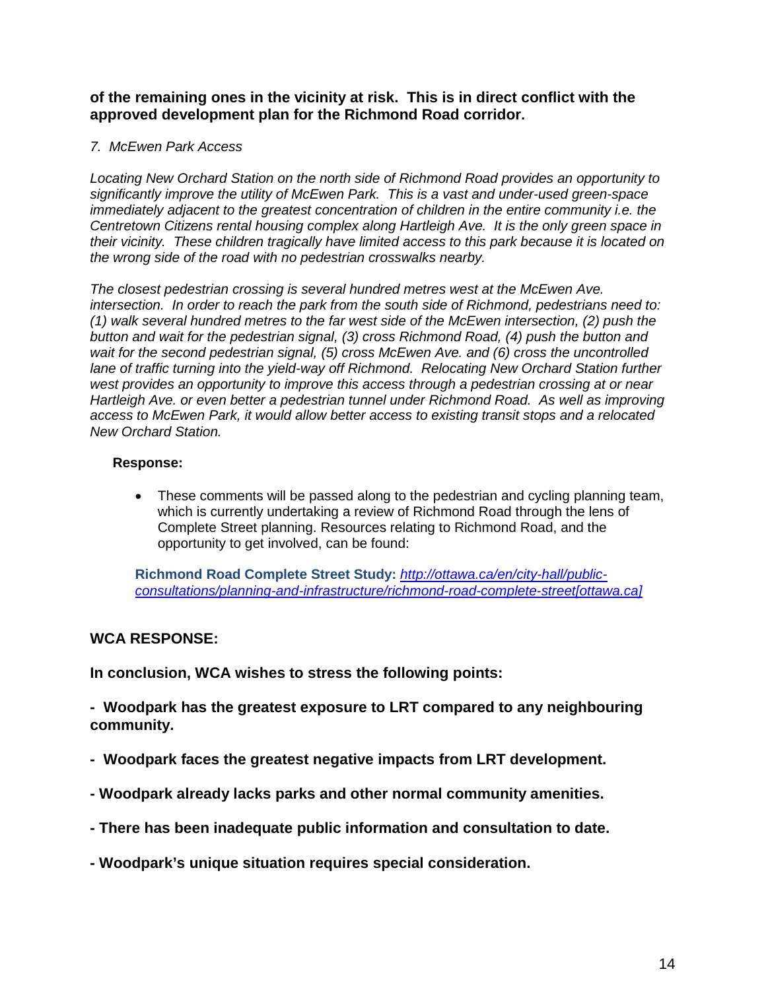# **of the remaining ones in the vicinity at risk. This is in direct conflict with the approved development plan for the Richmond Road corridor.**

#### *7. McEwen Park Access*

*Locating New Orchard Station on the north side of Richmond Road provides an opportunity to significantly improve the utility of McEwen Park. This is a vast and under-used green-space immediately adjacent to the greatest concentration of children in the entire community i.e. the Centretown Citizens rental housing complex along Hartleigh Ave. It is the only green space in their vicinity. These children tragically have limited access to this park because it is located on the wrong side of the road with no pedestrian crosswalks nearby.* 

*The closest pedestrian crossing is several hundred metres west at the McEwen Ave. intersection. In order to reach the park from the south side of Richmond, pedestrians need to: (1) walk several hundred metres to the far west side of the McEwen intersection, (2) push the button and wait for the pedestrian signal, (3) cross Richmond Road, (4) push the button and wait for the second pedestrian signal, (5) cross McEwen Ave. and (6) cross the uncontrolled lane of traffic turning into the yield-way off Richmond. Relocating New Orchard Station further west provides an opportunity to improve this access through a pedestrian crossing at or near Hartleigh Ave. or even better a pedestrian tunnel under Richmond Road. As well as improving access to McEwen Park, it would allow better access to existing transit stops and a relocated New Orchard Station.* 

#### **Response:**

• These comments will be passed along to the pedestrian and cycling planning team, which is currently undertaking a review of Richmond Road through the lens of Complete Street planning. Resources relating to Richmond Road, and the opportunity to get involved, can be found:

**Richmond Road Complete Street Study:** *[http://ottawa.ca/en/city-hall/public](https://urldefense.proofpoint.com/v2/url?u=http-3A__ottawa.ca_en_city-2Dhall_public-2Dconsultations_planning-2Dand-2Dinfrastructure_richmond-2Droad-2Dcomplete-2Dstreet&d=CwMF-g&c=Nwf-pp4xtYRe0sCRVM8_LWH54joYF7EKmrYIdfxIq10&r=iBGYiw0lv8QfquNdnbRJC_g6Ca7T28bAnprE22nuf1I&m=iEpMGHp6832yaeriA_QmRQHx0jsnBcmY7oMMCIPTXBE&s=kyYXy8ib8CTIcITj_ymfeexvBGLuYA6mqyKuHq0mcfc&e=)[consultations/planning-and-infrastructure/richmond-road-complete-street\[ottawa.ca\]](https://urldefense.proofpoint.com/v2/url?u=http-3A__ottawa.ca_en_city-2Dhall_public-2Dconsultations_planning-2Dand-2Dinfrastructure_richmond-2Droad-2Dcomplete-2Dstreet&d=CwMF-g&c=Nwf-pp4xtYRe0sCRVM8_LWH54joYF7EKmrYIdfxIq10&r=iBGYiw0lv8QfquNdnbRJC_g6Ca7T28bAnprE22nuf1I&m=iEpMGHp6832yaeriA_QmRQHx0jsnBcmY7oMMCIPTXBE&s=kyYXy8ib8CTIcITj_ymfeexvBGLuYA6mqyKuHq0mcfc&e=)*

# **WCA RESPONSE:**

**In conclusion, WCA wishes to stress the following points:**

**- Woodpark has the greatest exposure to LRT compared to any neighbouring community.**

- **Woodpark faces the greatest negative impacts from LRT development.**
- **- Woodpark already lacks parks and other normal community amenities.**
- **- There has been inadequate public information and consultation to date.**
- **- Woodpark's unique situation requires special consideration.**